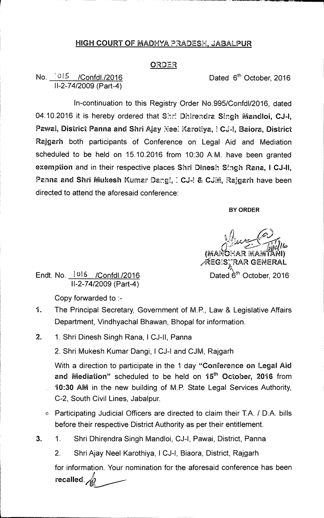## **HIGH COURT OF** MADHYA PRADESH, JABALPUR

## ORDER

## No.  $1015$  /Confdl./2016 **Dated 6th October, 2016** 11-2-74/2009 (Part-4)

1n-continuation to this Registry Order No.995/Confd1/2016, dated 04.10.2016 it is hereby ordered that Shri Dhirendra Singh Mandloi, CJ-I, Pawai, **District Panna and Shri** Ajay Nee: Karotiya, **Ca-1, Baiora, District Rajgarh** both participants of Conference on Legal Aid and Mediation scheduled to be held on 15.10.2016 from 10:30 A.M. have been granted exemption and in their respective places Shri Dinesh Singh Rana, I CJ-II, Panna and Shri Mukesh Kumar Dangi, I CJ-I & CJM, Rajgarh have been directed to attend the aforesaid conference:

**BY ORDER** 

(MANOHAR MAMTANI) EG:S"RAR GENERAL

Endt. No.  $1016$  /Confdl./2016 **Dated 6<sup>th</sup> October, 2016** 11-2-74/2009 (Part-4)

Copy forwarded to :-

- 1. The Principal Secretary, Government of M.P., Law & Legislative Affairs Department, Vindhyachal Bhawan, Bhopal for information.
- **2. 1.** Shri Dinesh Singh Rana, I CJ-II, Panna

2. Shri Mukesh Kumar Dangi, ICJ-I and CJM, Rajgarh

With a direction to participate in the 1 day **"Conference on Legal Aid and Mediation"** scheduled to be held on **15th October, 2016 from 10:30 AM in the new building of M.P. State Legal Services Authority,** C-2, South Civil Lines, Jabalpur.

- 0 Participating Judicial Officers are directed to claim their T.A. / D.A. bills before their respective District Authority as per their entitlement.
- **3. 1.** Shri Dhirendra Singh Mandloi, CJ-I, Pawai, District, Panna
	- 2. Shri Ajay Neel Karothiya, I CJ-I, Biaora, District, Rajgarh

for information. Your nomination for the aforesaid conference has been recalled. **An**